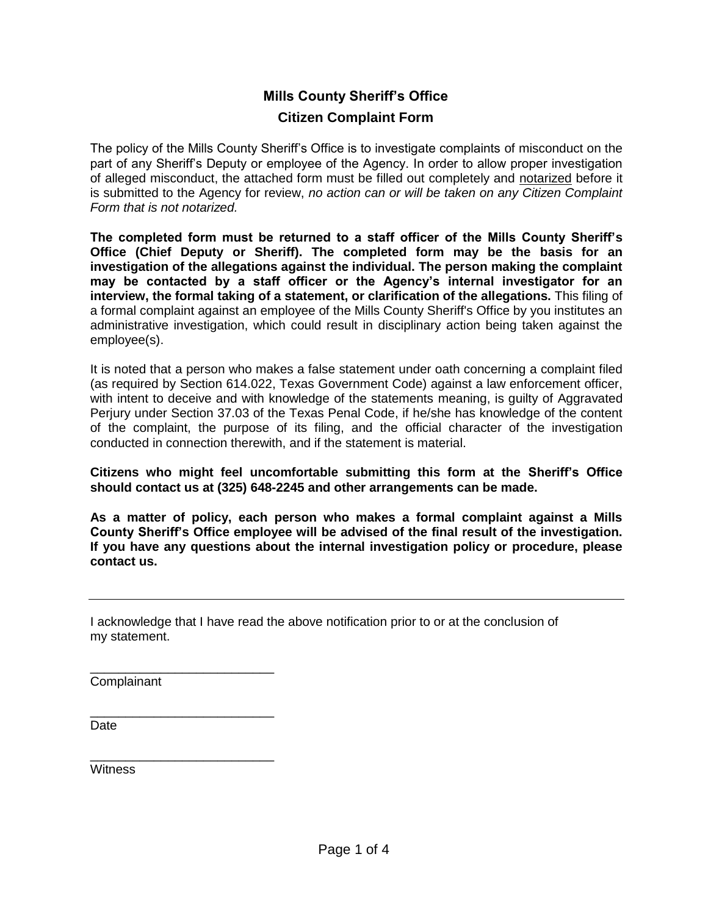## **Mills County Sheriff's Office Citizen Complaint Form**

The policy of the Mills County Sheriff's Office is to investigate complaints of misconduct on the part of any Sheriff's Deputy or employee of the Agency. In order to allow proper investigation of alleged misconduct, the attached form must be filled out completely and notarized before it is submitted to the Agency for review, *no action can or will be taken on any Citizen Complaint Form that is not notarized.*

**The completed form must be returned to a staff officer of the Mills County Sheriff's Office (Chief Deputy or Sheriff). The completed form may be the basis for an investigation of the allegations against the individual. The person making the complaint may be contacted by a staff officer or the Agency's internal investigator for an interview, the formal taking of a statement, or clarification of the allegations.** This filing of a formal complaint against an employee of the Mills County Sheriff's Office by you institutes an administrative investigation, which could result in disciplinary action being taken against the employee(s).

It is noted that a person who makes a false statement under oath concerning a complaint filed (as required by Section 614.022, Texas Government Code) against a law enforcement officer, with intent to deceive and with knowledge of the statements meaning, is guilty of Aggravated Perjury under Section 37.03 of the Texas Penal Code, if he/she has knowledge of the content of the complaint, the purpose of its filing, and the official character of the investigation conducted in connection therewith, and if the statement is material.

**Citizens who might feel uncomfortable submitting this form at the Sheriff's Office should contact us at (325) 648-2245 and other arrangements can be made.**

**As a matter of policy, each person who makes a formal complaint against a Mills County Sheriff's Office employee will be advised of the final result of the investigation. If you have any questions about the internal investigation policy or procedure, please contact us.**

I acknowledge that I have read the above notification prior to or at the conclusion of my statement.

**Complainant** 

\_\_\_\_\_\_\_\_\_\_\_\_\_\_\_\_\_\_\_\_\_\_\_\_\_\_

\_\_\_\_\_\_\_\_\_\_\_\_\_\_\_\_\_\_\_\_\_\_\_\_\_\_

\_\_\_\_\_\_\_\_\_\_\_\_\_\_\_\_\_\_\_\_\_\_\_\_\_\_

Date

**Witness**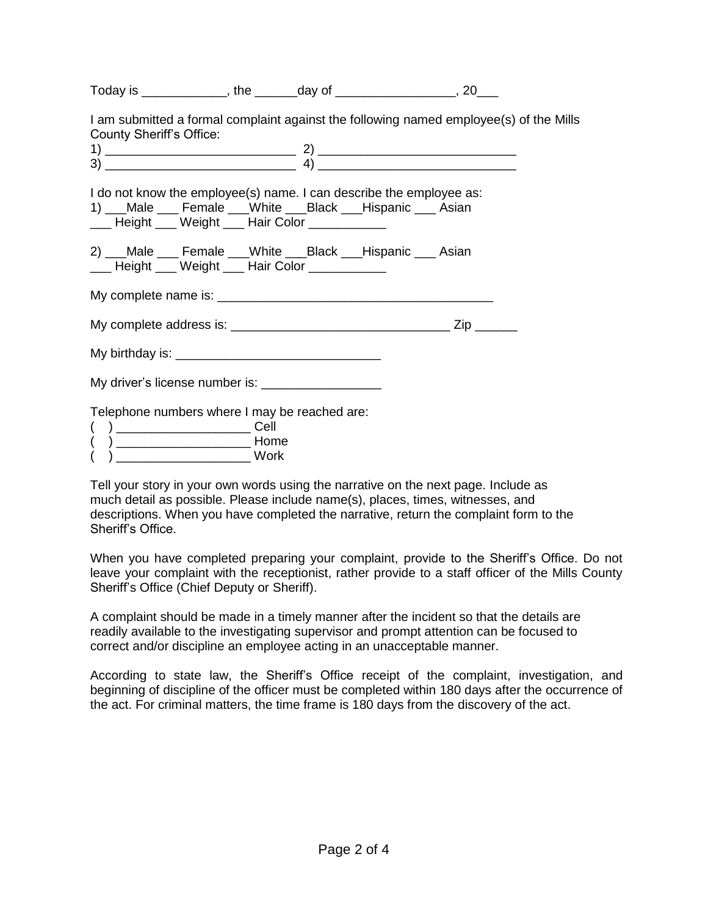| Today is ______________, the _______day of ___________________, 20___                                                                                                                     |  |  |  |
|-------------------------------------------------------------------------------------------------------------------------------------------------------------------------------------------|--|--|--|
| I am submitted a formal complaint against the following named employee(s) of the Mills<br><b>County Sheriff's Office:</b>                                                                 |  |  |  |
| I do not know the employee(s) name. I can describe the employee as:<br>1) ___Male ____ Female ___White ___Black ___Hispanic ____ Asian<br>___ Height ___ Weight ___ Hair Color __________ |  |  |  |
| 2) ___Male ____ Female ___White ___Black ___Hispanic ___ Asian<br>___ Height ___ Weight ___ Hair Color __________                                                                         |  |  |  |
|                                                                                                                                                                                           |  |  |  |
|                                                                                                                                                                                           |  |  |  |
|                                                                                                                                                                                           |  |  |  |
|                                                                                                                                                                                           |  |  |  |
| Telephone numbers where I may be reached are:                                                                                                                                             |  |  |  |

| 1 |  | ome   |  |
|---|--|-------|--|
|   |  | - - - |  |

( ) \_\_\_\_\_\_\_\_\_\_\_\_\_\_\_\_\_\_\_ Work

Tell your story in your own words using the narrative on the next page. Include as much detail as possible. Please include name(s), places, times, witnesses, and descriptions. When you have completed the narrative, return the complaint form to the Sheriff's Office.

When you have completed preparing your complaint, provide to the Sheriff's Office. Do not leave your complaint with the receptionist, rather provide to a staff officer of the Mills County Sheriff's Office (Chief Deputy or Sheriff).

A complaint should be made in a timely manner after the incident so that the details are readily available to the investigating supervisor and prompt attention can be focused to correct and/or discipline an employee acting in an unacceptable manner.

According to state law, the Sheriff's Office receipt of the complaint, investigation, and beginning of discipline of the officer must be completed within 180 days after the occurrence of the act. For criminal matters, the time frame is 180 days from the discovery of the act.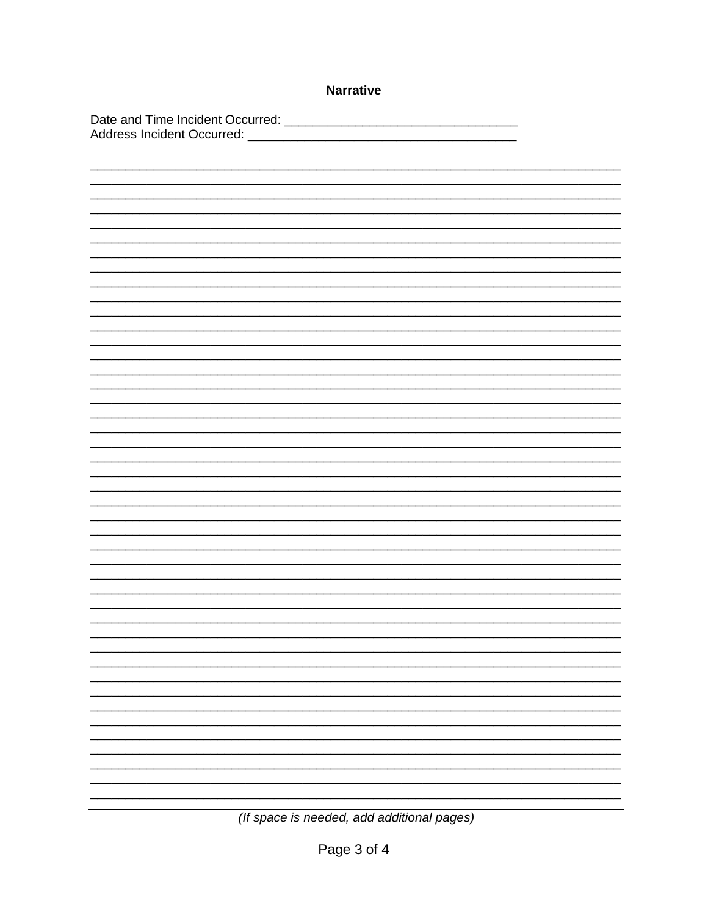| <b>Narrative</b> |    |
|------------------|----|
|                  |    |
|                  |    |
|                  |    |
|                  |    |
|                  |    |
|                  |    |
|                  |    |
|                  |    |
|                  |    |
|                  |    |
|                  |    |
|                  |    |
|                  |    |
|                  |    |
|                  |    |
|                  |    |
|                  |    |
|                  |    |
|                  | Ξ. |
|                  |    |
|                  |    |

(If space is needed, add additional pages)